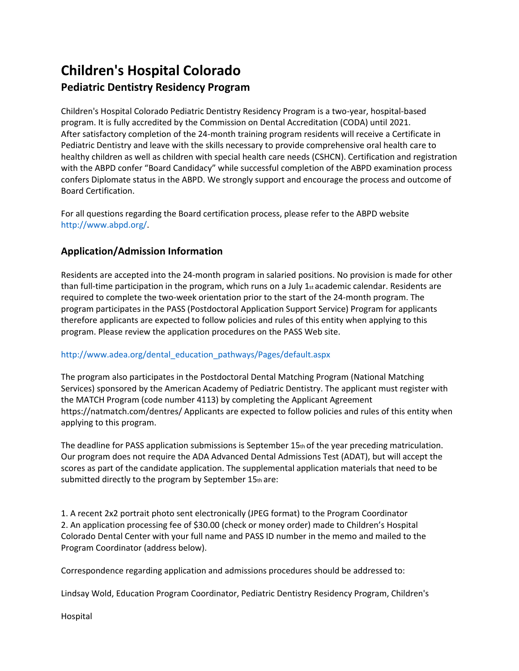## **Children's Hospital Colorado Pediatric Dentistry Residency Program**

Children's Hospital Colorado Pediatric Dentistry Residency Program is a two-year, hospital-based program. It is fully accredited by the Commission on Dental Accreditation (CODA) until 2021. After satisfactory completion of the 24-month training program residents will receive a Certificate in Pediatric Dentistry and leave with the skills necessary to provide comprehensive oral health care to healthy children as well as children with special health care needs (CSHCN). Certification and registration with the ABPD confer "Board Candidacy" while successful completion of the ABPD examination process confers Diplomate status in the ABPD. We strongly support and encourage the process and outcome of Board Certification.

For all questions regarding the Board certification process, please refer to the ABPD website http://www.abpd.org/.

## **Application/Admission Information**

Residents are accepted into the 24-month program in salaried positions. No provision is made for other than full-time participation in the program, which runs on a July  $1_{st}$  academic calendar. Residents are required to complete the two-week orientation prior to the start of the 24-month program. The program participates in the PASS (Postdoctoral Application Support Service) Program for applicants therefore applicants are expected to follow policies and rules of this entity when applying to this program. Please review the application procedures on the PASS Web site.

## http://www.adea.org/dental\_education\_pathways/Pages/default.aspx

The program also participates in the Postdoctoral Dental Matching Program (National Matching Services) sponsored by the American Academy of Pediatric Dentistry. The applicant must register with the MATCH Program (code number 4113) by completing the Applicant Agreement https://natmatch.com/dentres/ Applicants are expected to follow policies and rules of this entity when applying to this program.

The deadline for PASS application submissions is September 15th of the year preceding matriculation. Our program does not require the ADA Advanced Dental Admissions Test (ADAT), but will accept the scores as part of the candidate application. The supplemental application materials that need to be submitted directly to the program by September 15th are:

1. A recent 2x2 portrait photo sent electronically (JPEG format) to the Program Coordinator 2. An application processing fee of \$30.00 (check or money order) made to Children's Hospital Colorado Dental Center with your full name and PASS ID number in the memo and mailed to the Program Coordinator (address below).

Correspondence regarding application and admissions procedures should be addressed to:

Lindsay Wold, Education Program Coordinator, Pediatric Dentistry Residency Program, Children's

Hospital